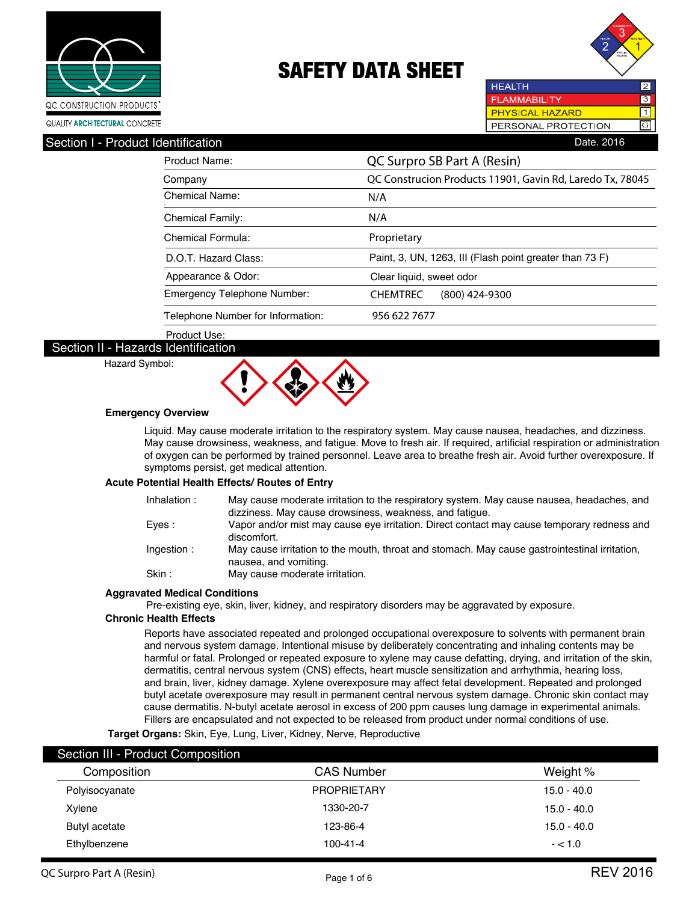



**HEALTH**  $\overline{2}$ **FLAMMABILITY** 3 **PHYSICAL HAZARD**  $\overline{\mathsf{1}}$ GPERSONAL PROTECTION

### Section I - Product Identification **Date. 2016** Contract in the Section Date. 2016

| Product Name:                     | QC Surpro SB Part A (Resin)                               |  |  |  |
|-----------------------------------|-----------------------------------------------------------|--|--|--|
| Company                           | QC Construcion Products 11901, Gavin Rd, Laredo Tx, 78045 |  |  |  |
| Chemical Name:                    | N/A                                                       |  |  |  |
| <b>Chemical Family:</b>           | N/A                                                       |  |  |  |
| Chemical Formula:                 | Proprietary                                               |  |  |  |
| D.O.T. Hazard Class:              | Paint, 3, UN, 1263, III (Flash point greater than 73 F)   |  |  |  |
| Appearance & Odor:                | Clear liquid, sweet odor                                  |  |  |  |
| Emergency Telephone Number:       | (800) 424-9300<br><b>CHEMTREC</b>                         |  |  |  |
| Telephone Number for Information: | 956 622 7677                                              |  |  |  |

Product Use:

### Section II - Hazards Identification Hazard Symbol:



### **Emergency Overview**

Liquid. May cause moderate irritation to the respiratory system. May cause nausea, headaches, and dizziness. May cause drowsiness, weakness, and fatigue. Move to fresh air. If required, artificial respiration or administration of oxygen can be performed by trained personnel. Leave area to breathe fresh air. Avoid further overexposure. If symptoms persist, get medical attention.

### **Acute Potential Health Effects/ Routes of Entry**

| Inhalation: | May cause moderate irritation to the respiratory system. May cause nausea, headaches, and<br>dizziness. May cause drowsiness, weakness, and fatique. |
|-------------|------------------------------------------------------------------------------------------------------------------------------------------------------|
| Eves :      | Vapor and/or mist may cause eye irritation. Direct contact may cause temporary redness and<br>discomfort.                                            |
| Ingestion:  | May cause irritation to the mouth, throat and stomach. May cause gastrointestinal irritation,<br>nausea, and vomiting.                               |
| Skin :      | May cause moderate irritation.                                                                                                                       |
|             |                                                                                                                                                      |

#### **Aggravated Medical Conditions**

Pre-existing eye, skin, liver, kidney, and respiratory disorders may be aggravated by exposure.

#### **Chronic Health Effects**

Reports have associated repeated and prolonged occupational overexposure to solvents with permanent brain and nervous system damage. Intentional misuse by deliberately concentrating and inhaling contents may be harmful or fatal. Prolonged or repeated exposure to xylene may cause defatting, drying, and irritation of the skin, dermatitis, central nervous system (CNS) effects, heart muscle sensitization and arrhythmia, hearing loss, and brain, liver, kidney damage. Xylene overexposure may affect fetal development. Repeated and prolonged butyl acetate overexposure may result in permanent central nervous system damage. Chronic skin contact may cause dermatitis. N-butyl acetate aerosol in excess of 200 ppm causes lung damage in experimental animals. Fillers are encapsulated and not expected to be released from product under normal conditions of use.

**Target Organs:** Skin, Eye, Lung, Liver, Kidney, Nerve, Reproductive

| Section III - Product Composition |                    |               |
|-----------------------------------|--------------------|---------------|
| Composition                       | <b>CAS Number</b>  | Weight %      |
| Polyisocyanate                    | <b>PROPRIETARY</b> | $15.0 - 40.0$ |
| Xylene                            | 1330-20-7          | $15.0 - 40.0$ |
| Butyl acetate                     | 123-86-4           | $15.0 - 40.0$ |
| Ethylbenzene                      | $100 - 41 - 4$     | $- < 1.0$     |
|                                   |                    |               |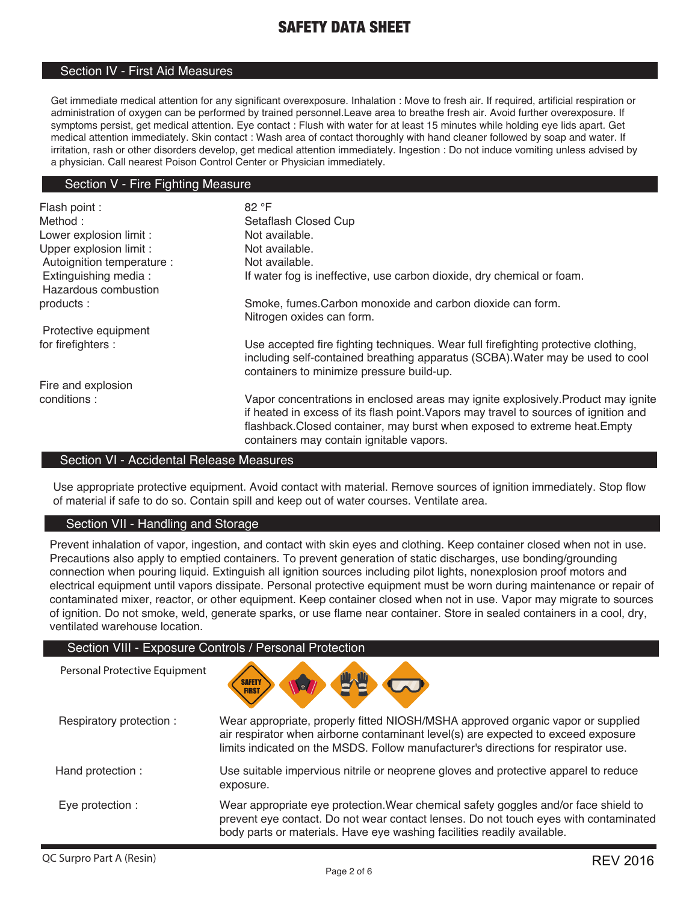### Section IV - First Aid Measures

Get immediate medical attention for any significant overexposure. Inhalation : Move to fresh air. If required, artificial respiration or administration of oxygen can be performed by trained personnel.Leave area to breathe fresh air. Avoid further overexposure. If symptoms persist, get medical attention. Eye contact : Flush with water for at least 15 minutes while holding eye lids apart. Get medical attention immediately. Skin contact : Wash area of contact thoroughly with hand cleaner followed by soap and water. If irritation, rash or other disorders develop, get medical attention immediately. Ingestion : Do not induce vomiting unless advised by a physician. Call nearest Poison Control Center or Physician immediately.

### Section V - Fire Fighting Measure

| Flash point :              | 82 °F                                                                                                                                                                                                                                                                                             |  |  |
|----------------------------|---------------------------------------------------------------------------------------------------------------------------------------------------------------------------------------------------------------------------------------------------------------------------------------------------|--|--|
| Method:                    | Setaflash Closed Cup                                                                                                                                                                                                                                                                              |  |  |
| Lower explosion limit :    | Not available.                                                                                                                                                                                                                                                                                    |  |  |
| Upper explosion limit :    | Not available.                                                                                                                                                                                                                                                                                    |  |  |
| Autoignition temperature : | Not available.                                                                                                                                                                                                                                                                                    |  |  |
| Extinguishing media:       | If water fog is ineffective, use carbon dioxide, dry chemical or foam.                                                                                                                                                                                                                            |  |  |
| Hazardous combustion       |                                                                                                                                                                                                                                                                                                   |  |  |
| products:                  | Smoke, fumes.Carbon monoxide and carbon dioxide can form.                                                                                                                                                                                                                                         |  |  |
|                            | Nitrogen oxides can form.                                                                                                                                                                                                                                                                         |  |  |
| Protective equipment       |                                                                                                                                                                                                                                                                                                   |  |  |
| for firefighters :         | Use accepted fire fighting techniques. Wear full firefighting protective clothing,<br>including self-contained breathing apparatus (SCBA). Water may be used to cool<br>containers to minimize pressure build-up.                                                                                 |  |  |
| Fire and explosion         |                                                                                                                                                                                                                                                                                                   |  |  |
| conditions:                | Vapor concentrations in enclosed areas may ignite explosively. Product may ignite<br>if heated in excess of its flash point. Vapors may travel to sources of ignition and<br>flashback.Closed container, may burst when exposed to extreme heat.Empty<br>containers may contain ignitable vapors. |  |  |

#### Section VI - Accidental Release Measures

Use appropriate protective equipment. Avoid contact with material. Remove sources of ignition immediately. Stop flow of material if safe to do so. Contain spill and keep out of water courses. Ventilate area.

### Section VII - Handling and Storage

Personal Protective Equipment

Prevent inhalation of vapor, ingestion, and contact with skin eyes and clothing. Keep container closed when not in use. Precautions also apply to emptied containers. To prevent generation of static discharges, use bonding/grounding connection when pouring liquid. Extinguish all ignition sources including pilot lights, nonexplosion proof motors and electrical equipment until vapors dissipate. Personal protective equipment must be worn during maintenance or repair of contaminated mixer, reactor, or other equipment. Keep container closed when not in use. Vapor may migrate to sources of ignition. Do not smoke, weld, generate sparks, or use flame near container. Store in sealed containers in a cool, dry, ventilated warehouse location.

### Section VIII - Exposure Controls / Personal Protection



| Respiratory protection: | Wear appropriate, properly fitted NIOSH/MSHA approved organic vapor or supplied<br>air respirator when airborne contaminant level(s) are expected to exceed exposure<br>limits indicated on the MSDS. Follow manufacturer's directions for respirator use. |
|-------------------------|------------------------------------------------------------------------------------------------------------------------------------------------------------------------------------------------------------------------------------------------------------|
| Hand protection :       | Use suitable impervious nitrile or neoprene gloves and protective apparel to reduce<br>exposure.                                                                                                                                                           |
| Eye protection :        | Wear appropriate eye protection. Wear chemical safety goggles and/or face shield to<br>prevent eye contact. Do not wear contact lenses. Do not touch eyes with contaminated<br>body parts or materials. Have eye washing facilities readily available.     |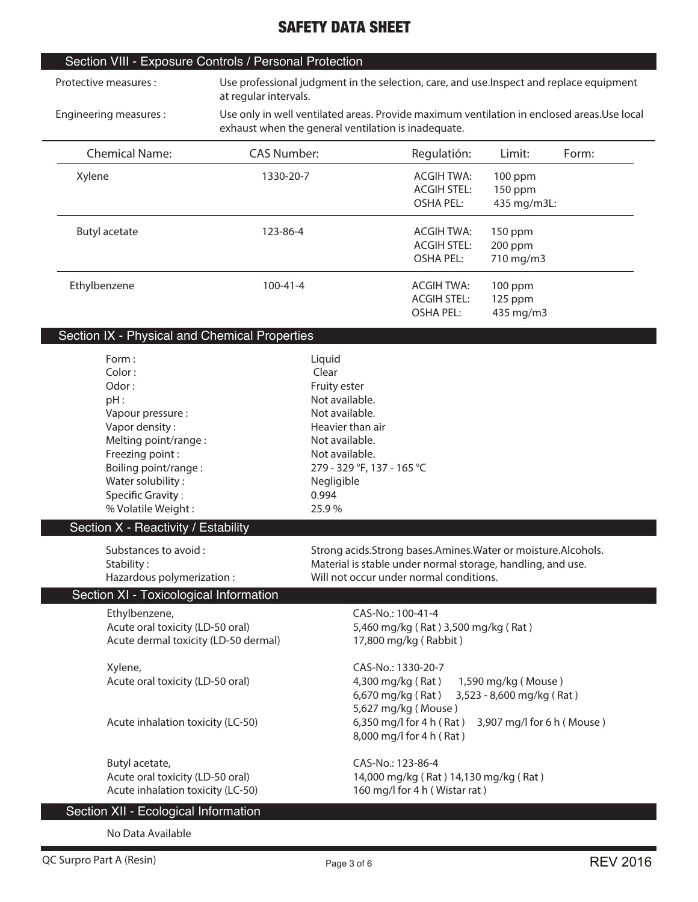### Section VIII - Exposure Controls / Personal Protection

**Protective measures :** 

**Use professional judgment in the selection, care, and use.Inspect and replace equipment at regular intervals.**

 **Engineering measures :** 

**Use only in well ventilated areas. Provide maximum ventilation in enclosed areas.Use local exhaust when the general ventilation is inadequate.** 

| CANGO WITCH THE GENERAL VEHING TO HIGGEGAGE. |                    |                    |             |       |
|----------------------------------------------|--------------------|--------------------|-------------|-------|
| <b>Chemical Name:</b>                        | <b>CAS Number:</b> | Regulatión:        | Limit:      | Form: |
| Xylene                                       | 1330-20-7          |                    | $100$ ppm   |       |
|                                              |                    | <b>ACGIH STEL:</b> | 150 ppm     |       |
|                                              |                    | OSHA PEL:          | 435 mg/m3L: |       |
| <b>Butyl acetate</b>                         | 123-86-4           | <b>ACGIH TWA:</b>  | 150 ppm     |       |
|                                              |                    | <b>ACGIH STEL:</b> | 200 ppm     |       |
|                                              |                    | OSHA PEL:          | 710 mg/m3   |       |
| Ethylbenzene                                 | $100 - 41 - 4$     | ACGIH TWA:         | 100 ppm     |       |
|                                              |                    | <b>ACGIH STEL:</b> | 125 ppm     |       |
|                                              |                    | OSHA PEL:          | 435 mg/m3   |       |

### Section IX - Physical and Chemical Properties

| Form:<br>Color:                        | Liquid<br>Clear                                              |
|----------------------------------------|--------------------------------------------------------------|
| Odor:                                  | Fruity ester                                                 |
| pH:                                    | Not available.                                               |
| Vapour pressure :                      | Not available.                                               |
| Vapor density:                         | Heavier than air                                             |
| Melting point/range:                   | Not available.                                               |
| Freezing point:                        | Not available.                                               |
| Boiling point/range:                   | 279 - 329 °F, 137 - 165 °C                                   |
| Water solubility:                      | Negligible                                                   |
| Specific Gravity:                      | 0.994                                                        |
| % Volatile Weight:                     | 25.9%                                                        |
| Section X - Reactivity / Estability    |                                                              |
| Substances to avoid:                   | Strong acids.Strong bases.Amines.Water or moisture.Alcohols. |
| Stability:                             | Material is stable under normal storage, handling, and use.  |
| Hazardous polymerization:              | Will not occur under normal conditions.                      |
| Section XI - Toxicological Information |                                                              |
| Ethylbenzene,                          | CAS-No.: 100-41-4                                            |
| Acute oral toxicity (LD-50 oral)       | 5,460 mg/kg (Rat) 3,500 mg/kg (Rat)                          |
| Acute dermal toxicity (LD-50 dermal)   | 17,800 mg/kg (Rabbit)                                        |
| Xylene,                                | CAS-No.: 1330-20-7                                           |
| Acute oral toxicity (LD-50 oral)       | 4,300 mg/kg (Rat)<br>1,590 mg/kg (Mouse)                     |
|                                        | 3,523 - 8,600 mg/kg (Rat)<br>6,670 mg/kg (Rat)               |
|                                        | 5,627 mg/kg (Mouse)                                          |
| Acute inhalation toxicity (LC-50)      | 6,350 mg/l for $4 h (Rat)$<br>3,907 mg/l for 6 h (Mouse)     |
|                                        | 8,000 mg/l for 4 h (Rat)                                     |
| Butyl acetate,                         | CAS-No.: 123-86-4                                            |
| Acute oral toxicity (LD-50 oral)       | 14,000 mg/kg (Rat) 14,130 mg/kg (Rat)                        |
| Acute inhalation toxicity (LC-50)      | 160 mg/l for 4 h (Wistar rat)                                |
| Section XII - Ecological Information   |                                                              |
|                                        |                                                              |

**No Data Available**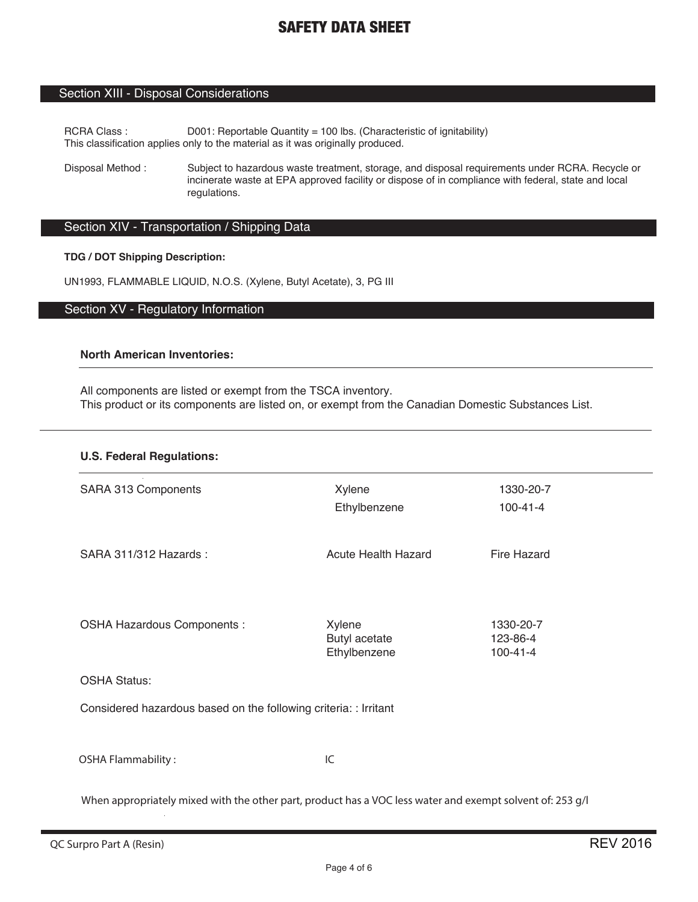### Section XIII - Disposal Considerations

RCRA Class : D001: Reportable Quantity = 100 lbs. (Characteristic of ignitability) This classification applies only to the material as it was originally produced.

Disposal Method : Subject to hazardous waste treatment, storage, and disposal requirements under RCRA. Recycle or incinerate waste at EPA approved facility or dispose of in compliance with federal, state and local regulations.

### Section XIV - Transportation / Shipping Data

### **TDG / DOT Shipping Description:**

UN1993, FLAMMABLE LIQUID, N.O.S. (Xylene, Butyl Acetate), 3, PG III

### Section XV - Regulatory Information

### **North American Inventories:**

All components are listed or exempt from the TSCA inventory. This product or its components are listed on, or exempt from the Canadian Domestic Substances List.

#### **U.S. Federal Regulations:**

| SARA 313 Components                                              | Xylene<br>Ethylbenzene                  | 1330-20-7<br>$100 - 41 - 4$             |  |  |  |
|------------------------------------------------------------------|-----------------------------------------|-----------------------------------------|--|--|--|
| SARA 311/312 Hazards:                                            | <b>Acute Health Hazard</b>              | Fire Hazard                             |  |  |  |
| OSHA Hazardous Components :                                      | Xylene<br>Butyl acetate<br>Ethylbenzene | 1330-20-7<br>123-86-4<br>$100 - 41 - 4$ |  |  |  |
| <b>OSHA Status:</b>                                              |                                         |                                         |  |  |  |
| Considered hazardous based on the following criteria: : Irritant |                                         |                                         |  |  |  |
| <b>OSHA Flammability:</b>                                        | IC                                      |                                         |  |  |  |

When appropriately mixed with the other part, product has a VOC less water and exempt solvent of: 253 g/l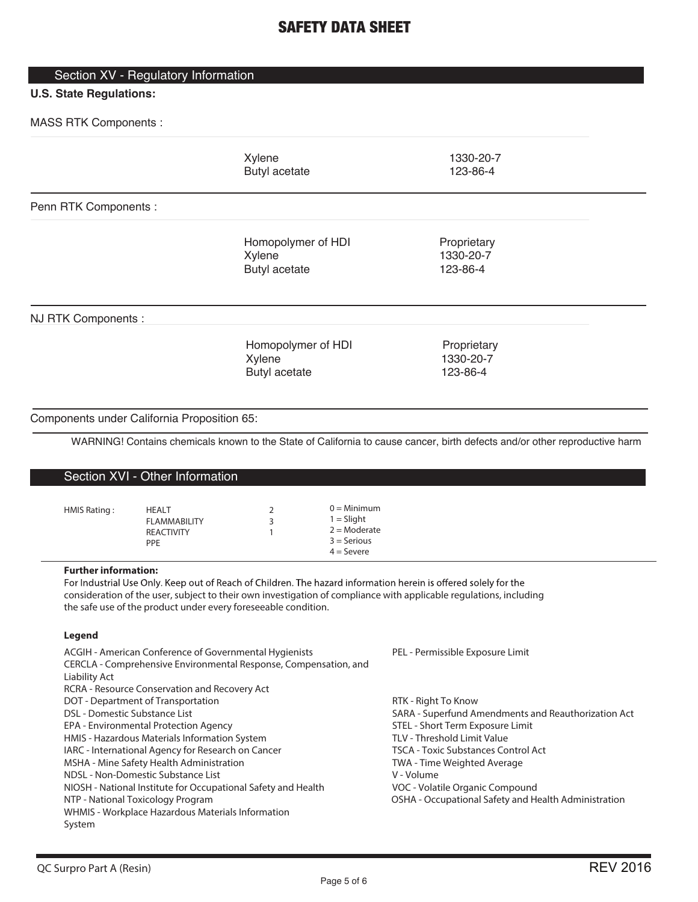### Section XV - Regulatory Information

### **U.S. State Regulations:**

MASS RTK Components :

|                                                          |                                                                                                                                                                                                                                                                                                                                                                                                                                                                                                                                                                                                                | Xylene<br><b>Butyl acetate</b>                       |                                                                                  | 1330-20-7<br>123-86-4                                                                                                                                                                                                                                                                                                                                                   |
|----------------------------------------------------------|----------------------------------------------------------------------------------------------------------------------------------------------------------------------------------------------------------------------------------------------------------------------------------------------------------------------------------------------------------------------------------------------------------------------------------------------------------------------------------------------------------------------------------------------------------------------------------------------------------------|------------------------------------------------------|----------------------------------------------------------------------------------|-------------------------------------------------------------------------------------------------------------------------------------------------------------------------------------------------------------------------------------------------------------------------------------------------------------------------------------------------------------------------|
| Penn RTK Components:                                     |                                                                                                                                                                                                                                                                                                                                                                                                                                                                                                                                                                                                                |                                                      |                                                                                  |                                                                                                                                                                                                                                                                                                                                                                         |
|                                                          |                                                                                                                                                                                                                                                                                                                                                                                                                                                                                                                                                                                                                | Homopolymer of HDI<br>Xylene<br><b>Butyl acetate</b> |                                                                                  | Proprietary<br>1330-20-7<br>123-86-4                                                                                                                                                                                                                                                                                                                                    |
| NJ RTK Components:                                       |                                                                                                                                                                                                                                                                                                                                                                                                                                                                                                                                                                                                                |                                                      |                                                                                  |                                                                                                                                                                                                                                                                                                                                                                         |
|                                                          |                                                                                                                                                                                                                                                                                                                                                                                                                                                                                                                                                                                                                | Homopolymer of HDI<br>Xylene<br><b>Butyl acetate</b> |                                                                                  | Proprietary<br>1330-20-7<br>123-86-4                                                                                                                                                                                                                                                                                                                                    |
|                                                          | Components under California Proposition 65:                                                                                                                                                                                                                                                                                                                                                                                                                                                                                                                                                                    |                                                      |                                                                                  |                                                                                                                                                                                                                                                                                                                                                                         |
|                                                          |                                                                                                                                                                                                                                                                                                                                                                                                                                                                                                                                                                                                                |                                                      |                                                                                  | WARNING! Contains chemicals known to the State of California to cause cancer, birth defects and/or other reproductive harm                                                                                                                                                                                                                                              |
|                                                          | Section XVI - Other Information                                                                                                                                                                                                                                                                                                                                                                                                                                                                                                                                                                                |                                                      |                                                                                  |                                                                                                                                                                                                                                                                                                                                                                         |
| HMIS Rating:                                             | HEALT<br><b>FLAMMABILITY</b><br><b>REACTIVITY</b><br>PPE                                                                                                                                                                                                                                                                                                                                                                                                                                                                                                                                                       | 2<br>3<br>1                                          | $0 =$ Minimum<br>$1 =$ Slight<br>$2 =$ Moderate<br>$3 =$ Serious<br>$4 =$ Severe |                                                                                                                                                                                                                                                                                                                                                                         |
| <b>Further information:</b>                              | the safe use of the product under every foreseeable condition.                                                                                                                                                                                                                                                                                                                                                                                                                                                                                                                                                 |                                                      |                                                                                  | For Industrial Use Only. Keep out of Reach of Children. The hazard information herein is offered solely for the<br>consideration of the user, subject to their own investigation of compliance with applicable regulations, including                                                                                                                                   |
| <b>Legend</b>                                            |                                                                                                                                                                                                                                                                                                                                                                                                                                                                                                                                                                                                                |                                                      |                                                                                  |                                                                                                                                                                                                                                                                                                                                                                         |
| Liability Act<br>DSL - Domestic Substance List<br>System | ACGIH - American Conference of Governmental Hygienists<br>CERCLA - Comprehensive Environmental Response, Compensation, and<br>RCRA - Resource Conservation and Recovery Act<br>DOT - Department of Transportation<br>EPA - Environmental Protection Agency<br>HMIS - Hazardous Materials Information System<br>IARC - International Agency for Research on Cancer<br>MSHA - Mine Safety Health Administration<br>NDSL - Non-Domestic Substance List<br>NIOSH - National Institute for Occupational Safety and Health<br>NTP - National Toxicology Program<br>WHMIS - Workplace Hazardous Materials Information |                                                      |                                                                                  | PEL - Permissible Exposure Limit<br>RTK - Right To Know<br>SARA - Superfund Amendments and Reauthorization Act<br>STEL - Short Term Exposure Limit<br>TLV - Threshold Limit Value<br><b>TSCA - Toxic Substances Control Act</b><br>TWA - Time Weighted Average<br>V - Volume<br>VOC - Volatile Organic Compound<br>OSHA - Occupational Safety and Health Administration |